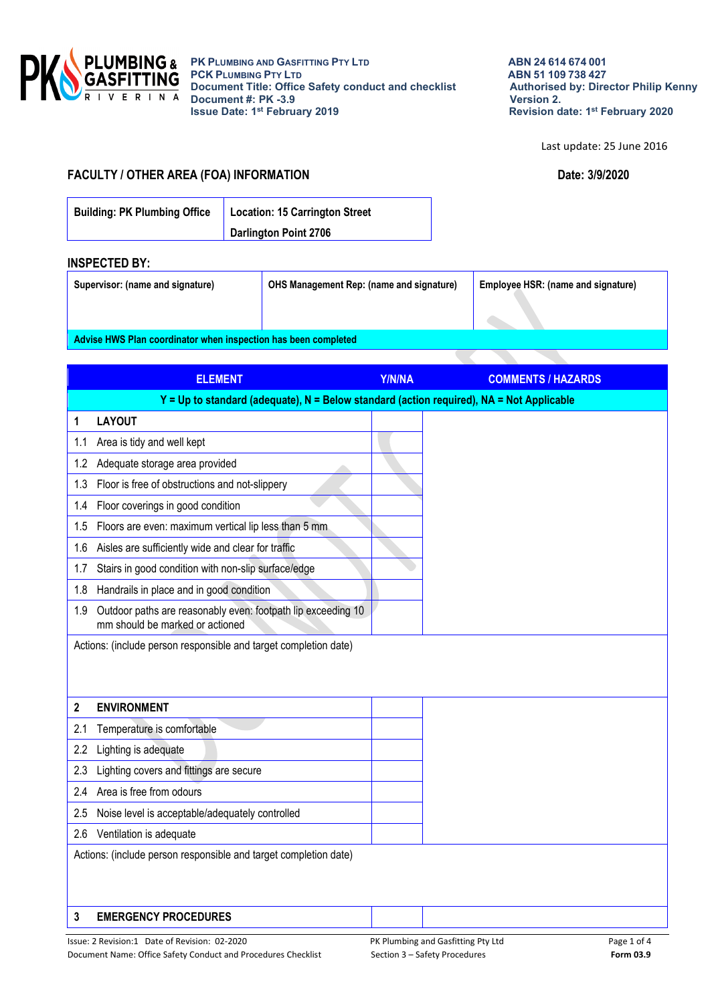

Last update: 25 June 2016

## **FACULTY / OTHER AREA (FOA) INFORMATION Date: 3/9/2020**

| <b>Building: PK Plumbing Office</b> | Location: 15 Carrington Street |  |
|-------------------------------------|--------------------------------|--|
|                                     | <b>Darlington Point 2706</b>   |  |

## **INSPECTED BY:**

| Supervisor: (name and signature)                               | <b>OHS Management Rep: (name and signature)</b> | Employee HSR: (name and signature) |  |  |  |
|----------------------------------------------------------------|-------------------------------------------------|------------------------------------|--|--|--|
|                                                                |                                                 |                                    |  |  |  |
| Advise HWS Plan coordinator when inspection has been completed |                                                 |                                    |  |  |  |

|     | <b>ELEMENT</b>                                                                                  | Y/N/NA | <b>COMMENTS / HAZARDS</b> |
|-----|-------------------------------------------------------------------------------------------------|--------|---------------------------|
|     | Y = Up to standard (adequate), N = Below standard (action required), NA = Not Applicable        |        |                           |
| 1   | <b>LAYOUT</b>                                                                                   |        |                           |
| 1.1 | Area is tidy and well kept                                                                      |        |                           |
| 1.2 | Adequate storage area provided                                                                  |        |                           |
| 1.3 | Floor is free of obstructions and not-slippery                                                  |        |                           |
| 1.4 | Floor coverings in good condition                                                               |        |                           |
| 1.5 | Floors are even: maximum vertical lip less than 5 mm                                            |        |                           |
| 1.6 | Aisles are sufficiently wide and clear for traffic                                              |        |                           |
| 1.7 | Stairs in good condition with non-slip surface/edge                                             |        |                           |
| 1.8 | Handrails in place and in good condition                                                        |        |                           |
| 1.9 | Outdoor paths are reasonably even: footpath lip exceeding 10<br>mm should be marked or actioned |        |                           |
|     | Actions: (include person responsible and target completion date)                                |        |                           |
|     |                                                                                                 |        |                           |
|     |                                                                                                 |        |                           |
| 2   | <b>ENVIRONMENT</b>                                                                              |        |                           |
| 2.1 | Temperature is comfortable                                                                      |        |                           |
| 2.2 | Lighting is adequate                                                                            |        |                           |
| 2.3 | Lighting covers and fittings are secure                                                         |        |                           |
| 2.4 | Area is free from odours                                                                        |        |                           |
| 2.5 | Noise level is acceptable/adequately controlled                                                 |        |                           |
|     | 2.6 Ventilation is adequate                                                                     |        |                           |
|     | Actions: (include person responsible and target completion date)                                |        |                           |
|     |                                                                                                 |        |                           |
|     |                                                                                                 |        |                           |
| 3   | <b>EMERGENCY PROCEDURES</b>                                                                     |        |                           |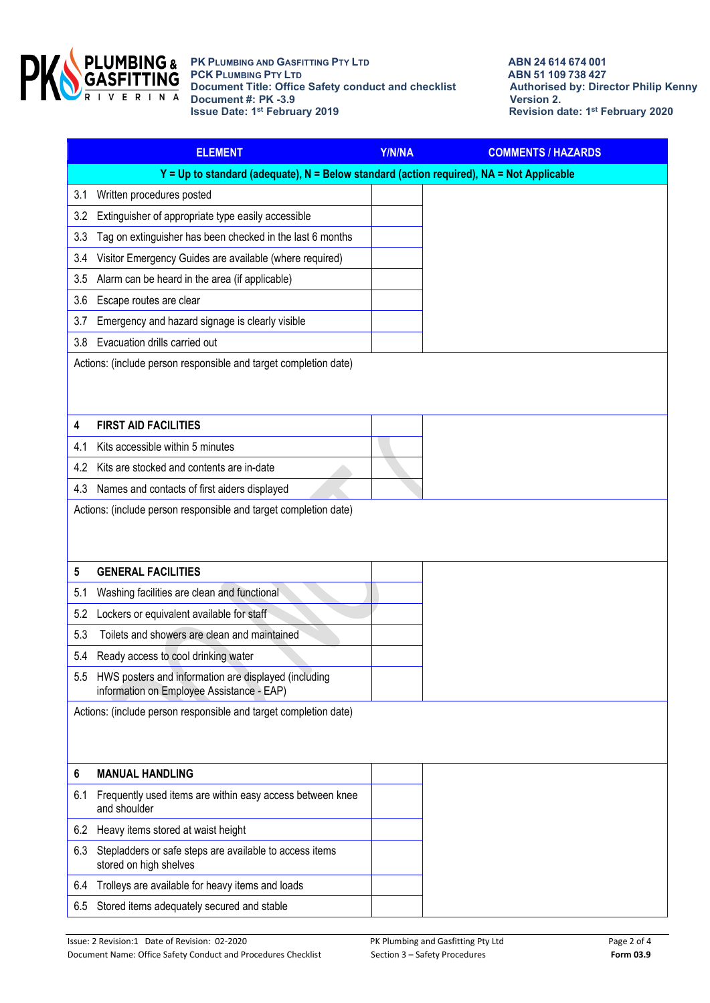

|     | <b>ELEMENT</b>                                                                                        | Y/N/NA | <b>COMMENTS / HAZARDS</b> |
|-----|-------------------------------------------------------------------------------------------------------|--------|---------------------------|
|     | $Y = Up$ to standard (adequate), N = Below standard (action required), NA = Not Applicable            |        |                           |
| 3.1 | Written procedures posted                                                                             |        |                           |
| 3.2 | Extinguisher of appropriate type easily accessible                                                    |        |                           |
| 3.3 | Tag on extinguisher has been checked in the last 6 months                                             |        |                           |
| 3.4 | Visitor Emergency Guides are available (where required)                                               |        |                           |
| 3.5 | Alarm can be heard in the area (if applicable)                                                        |        |                           |
| 3.6 | Escape routes are clear                                                                               |        |                           |
| 3.7 | Emergency and hazard signage is clearly visible                                                       |        |                           |
| 3.8 | Evacuation drills carried out                                                                         |        |                           |
|     | Actions: (include person responsible and target completion date)                                      |        |                           |
| 4   | <b>FIRST AID FACILITIES</b>                                                                           |        |                           |
| 4.1 | Kits accessible within 5 minutes                                                                      |        |                           |
| 4.2 | Kits are stocked and contents are in-date                                                             |        |                           |
| 4.3 | Names and contacts of first aiders displayed                                                          |        |                           |
| 5   | <b>GENERAL FACILITIES</b>                                                                             |        |                           |
| 5.1 | Washing facilities are clean and functional                                                           |        |                           |
| 5.2 | Lockers or equivalent available for staff                                                             |        |                           |
| 5.3 | Toilets and showers are clean and maintained                                                          |        |                           |
| 5.4 | Ready access to cool drinking water                                                                   |        |                           |
|     | 5.5 HWS posters and information are displayed (including<br>information on Employee Assistance - EAP) |        |                           |
|     | Actions: (include person responsible and target completion date)                                      |        |                           |
| 6   | <b>MANUAL HANDLING</b>                                                                                |        |                           |
| 6.1 | Frequently used items are within easy access between knee<br>and shoulder                             |        |                           |
| 6.2 | Heavy items stored at waist height                                                                    |        |                           |
| 6.3 | Stepladders or safe steps are available to access items<br>stored on high shelves                     |        |                           |
| 6.4 | Trolleys are available for heavy items and loads                                                      |        |                           |
| 6.5 | Stored items adequately secured and stable                                                            |        |                           |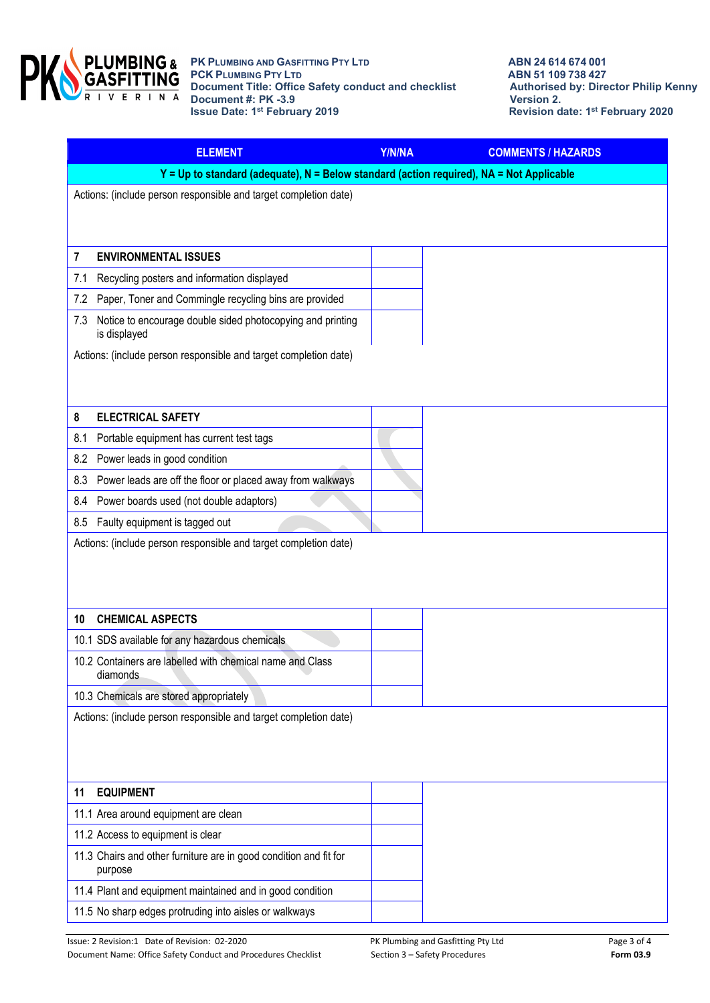

|     | <b>ELEMENT</b>                                                                           | Y/N/NA | <b>COMMENTS / HAZARDS</b> |
|-----|------------------------------------------------------------------------------------------|--------|---------------------------|
|     | Y = Up to standard (adequate), N = Below standard (action required), NA = Not Applicable |        |                           |
|     | Actions: (include person responsible and target completion date)                         |        |                           |
|     |                                                                                          |        |                           |
|     |                                                                                          |        |                           |
| 7   | <b>ENVIRONMENTAL ISSUES</b>                                                              |        |                           |
| 7.1 | Recycling posters and information displayed                                              |        |                           |
| 7.2 | Paper, Toner and Commingle recycling bins are provided                                   |        |                           |
| 7.3 | Notice to encourage double sided photocopying and printing<br>is displayed               |        |                           |
|     | Actions: (include person responsible and target completion date)                         |        |                           |
|     |                                                                                          |        |                           |
|     |                                                                                          |        |                           |
| 8   | <b>ELECTRICAL SAFETY</b>                                                                 |        |                           |
| 8.1 | Portable equipment has current test tags                                                 |        |                           |
| 8.2 | Power leads in good condition                                                            |        |                           |
| 8.3 | Power leads are off the floor or placed away from walkways                               |        |                           |
| 8.4 | Power boards used (not double adaptors)                                                  |        |                           |
|     | 8.5 Faulty equipment is tagged out                                                       |        |                           |
|     | Actions: (include person responsible and target completion date)                         |        |                           |
|     |                                                                                          |        |                           |
|     |                                                                                          |        |                           |
| 10  | <b>CHEMICAL ASPECTS</b>                                                                  |        |                           |
|     | 10.1 SDS available for any hazardous chemicals                                           |        |                           |
|     | 10.2 Containers are labelled with chemical name and Class<br>diamonds                    |        |                           |
|     | 10.3 Chemicals are stored appropriately                                                  |        |                           |
|     | Actions: (include person responsible and target completion date)                         |        |                           |
|     |                                                                                          |        |                           |
|     |                                                                                          |        |                           |
|     |                                                                                          |        |                           |
| 11  | <b>EQUIPMENT</b>                                                                         |        |                           |
|     | 11.1 Area around equipment are clean                                                     |        |                           |
|     | 11.2 Access to equipment is clear                                                        |        |                           |
|     | 11.3 Chairs and other furniture are in good condition and fit for<br>purpose             |        |                           |
|     | 11.4 Plant and equipment maintained and in good condition                                |        |                           |
|     | 11.5 No sharp edges protruding into aisles or walkways                                   |        |                           |
|     |                                                                                          |        |                           |